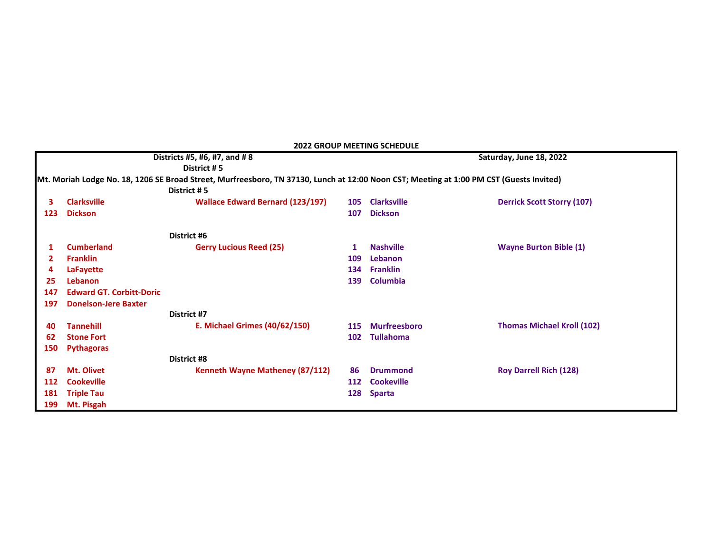| <b>2022 GROUP MEETING SCHEDULE</b>                                                                                                      |                                 |                                         |     |                         |                                   |  |  |  |  |  |
|-----------------------------------------------------------------------------------------------------------------------------------------|---------------------------------|-----------------------------------------|-----|-------------------------|-----------------------------------|--|--|--|--|--|
| Districts #5, #6, #7, and #8                                                                                                            |                                 |                                         |     | Saturday, June 18, 2022 |                                   |  |  |  |  |  |
| District #5                                                                                                                             |                                 |                                         |     |                         |                                   |  |  |  |  |  |
| Mt. Moriah Lodge No. 18, 1206 SE Broad Street, Murfreesboro, TN 37130, Lunch at 12:00 Noon CST; Meeting at 1:00 PM CST (Guests Invited) |                                 |                                         |     |                         |                                   |  |  |  |  |  |
|                                                                                                                                         |                                 | District #5                             |     |                         |                                   |  |  |  |  |  |
|                                                                                                                                         | <b>Clarksville</b>              | <b>Wallace Edward Bernard (123/197)</b> | 105 | <b>Clarksville</b>      | <b>Derrick Scott Storry (107)</b> |  |  |  |  |  |
| 123                                                                                                                                     | <b>Dickson</b>                  |                                         | 107 | <b>Dickson</b>          |                                   |  |  |  |  |  |
|                                                                                                                                         |                                 | District #6                             |     |                         |                                   |  |  |  |  |  |
|                                                                                                                                         | <b>Cumberland</b>               | <b>Gerry Lucious Reed (25)</b>          |     | <b>Nashville</b>        | <b>Wayne Burton Bible (1)</b>     |  |  |  |  |  |
| $\mathbf{2}$                                                                                                                            | <b>Franklin</b>                 |                                         | 109 | Lebanon                 |                                   |  |  |  |  |  |
|                                                                                                                                         | <b>LaFayette</b>                |                                         | 134 | <b>Franklin</b>         |                                   |  |  |  |  |  |
| 25                                                                                                                                      | Lebanon                         |                                         | 139 | Columbia                |                                   |  |  |  |  |  |
| 147                                                                                                                                     | <b>Edward GT. Corbitt-Doric</b> |                                         |     |                         |                                   |  |  |  |  |  |
| 197                                                                                                                                     | <b>Donelson-Jere Baxter</b>     |                                         |     |                         |                                   |  |  |  |  |  |
|                                                                                                                                         |                                 | District #7                             |     |                         |                                   |  |  |  |  |  |
| 40                                                                                                                                      | <b>Tannehill</b>                | <b>E. Michael Grimes (40/62/150)</b>    | 115 | <b>Murfreesboro</b>     | <b>Thomas Michael Kroll (102)</b> |  |  |  |  |  |
| 62                                                                                                                                      | <b>Stone Fort</b>               |                                         | 102 | <b>Tullahoma</b>        |                                   |  |  |  |  |  |
| 150                                                                                                                                     | <b>Pythagoras</b>               |                                         |     |                         |                                   |  |  |  |  |  |
|                                                                                                                                         |                                 | <b>District #8</b>                      |     |                         |                                   |  |  |  |  |  |
| 87                                                                                                                                      | Mt. Olivet                      | Kenneth Wayne Matheney (87/112)         | 86  | <b>Drummond</b>         | <b>Roy Darrell Rich (128)</b>     |  |  |  |  |  |
| 112                                                                                                                                     | <b>Cookeville</b>               |                                         | 112 | <b>Cookeville</b>       |                                   |  |  |  |  |  |
| 181                                                                                                                                     | <b>Triple Tau</b>               |                                         | 128 | <b>Sparta</b>           |                                   |  |  |  |  |  |
| 199                                                                                                                                     | Mt. Pisgah                      |                                         |     |                         |                                   |  |  |  |  |  |